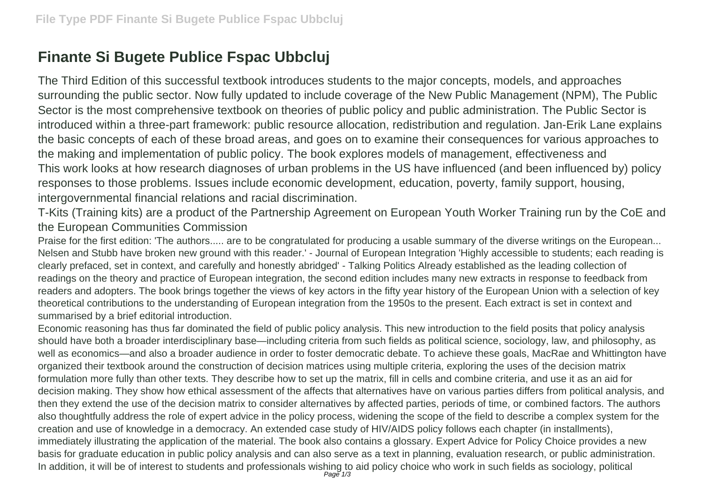## **Finante Si Bugete Publice Fspac Ubbcluj**

The Third Edition of this successful textbook introduces students to the major concepts, models, and approaches surrounding the public sector. Now fully updated to include coverage of the New Public Management (NPM), The Public Sector is the most comprehensive textbook on theories of public policy and public administration. The Public Sector is introduced within a three-part framework: public resource allocation, redistribution and regulation. Jan-Erik Lane explains the basic concepts of each of these broad areas, and goes on to examine their consequences for various approaches to the making and implementation of public policy. The book explores models of management, effectiveness and This work looks at how research diagnoses of urban problems in the US have influenced (and been influenced by) policy responses to those problems. Issues include economic development, education, poverty, family support, housing, intergovernmental financial relations and racial discrimination.

T-Kits (Training kits) are a product of the Partnership Agreement on European Youth Worker Training run by the CoE and the European Communities Commission

Praise for the first edition: 'The authors..... are to be congratulated for producing a usable summary of the diverse writings on the European... Nelsen and Stubb have broken new ground with this reader.' - Journal of European Integration 'Highly accessible to students; each reading is clearly prefaced, set in context, and carefully and honestly abridged' - Talking Politics Already established as the leading collection of readings on the theory and practice of European integration, the second edition includes many new extracts in response to feedback from readers and adopters. The book brings together the views of key actors in the fifty year history of the European Union with a selection of key theoretical contributions to the understanding of European integration from the 1950s to the present. Each extract is set in context and summarised by a brief editorial introduction.

Economic reasoning has thus far dominated the field of public policy analysis. This new introduction to the field posits that policy analysis should have both a broader interdisciplinary base—including criteria from such fields as political science, sociology, law, and philosophy, as well as economics—and also a broader audience in order to foster democratic debate. To achieve these goals, MacRae and Whittington have organized their textbook around the construction of decision matrices using multiple criteria, exploring the uses of the decision matrix formulation more fully than other texts. They describe how to set up the matrix, fill in cells and combine criteria, and use it as an aid for decision making. They show how ethical assessment of the affects that alternatives have on various parties differs from political analysis, and then they extend the use of the decision matrix to consider alternatives by affected parties, periods of time, or combined factors. The authors also thoughtfully address the role of expert advice in the policy process, widening the scope of the field to describe a complex system for the creation and use of knowledge in a democracy. An extended case study of HIV/AIDS policy follows each chapter (in installments), immediately illustrating the application of the material. The book also contains a glossary. Expert Advice for Policy Choice provides a new basis for graduate education in public policy analysis and can also serve as a text in planning, evaluation research, or public administration. In addition, it will be of interest to students and professionals wishing to aid policy choice who work in such fields as sociology, political<br>Page 1/3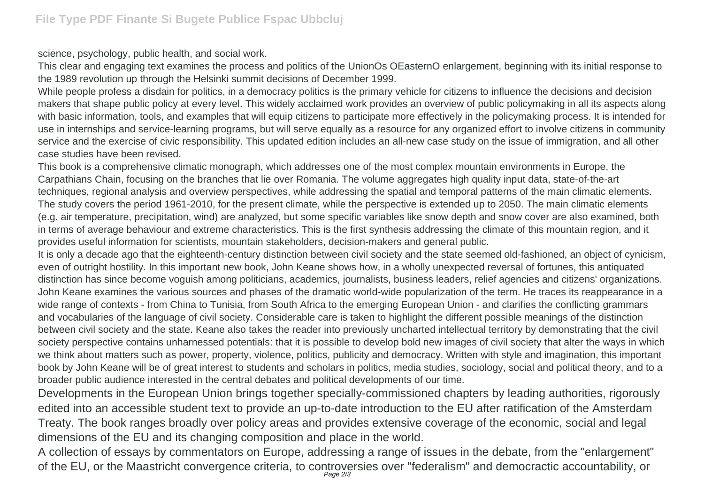science, psychology, public health, and social work.

This clear and engaging text examines the process and politics of the UnionOs OEasternO enlargement, beginning with its initial response to the 1989 revolution up through the Helsinki summit decisions of December 1999.

While people profess a disdain for politics, in a democracy politics is the primary vehicle for citizens to influence the decisions and decision makers that shape public policy at every level. This widely acclaimed work provides an overview of public policymaking in all its aspects along with basic information, tools, and examples that will equip citizens to participate more effectively in the policymaking process. It is intended for use in internships and service-learning programs, but will serve equally as a resource for any organized effort to involve citizens in community service and the exercise of civic responsibility. This updated edition includes an all-new case study on the issue of immigration, and all other case studies have been revised.

This book is a comprehensive climatic monograph, which addresses one of the most complex mountain environments in Europe, the Carpathians Chain, focusing on the branches that lie over Romania. The volume aggregates high quality input data, state-of-the-art techniques, regional analysis and overview perspectives, while addressing the spatial and temporal patterns of the main climatic elements. The study covers the period 1961-2010, for the present climate, while the perspective is extended up to 2050. The main climatic elements (e.g. air temperature, precipitation, wind) are analyzed, but some specific variables like snow depth and snow cover are also examined, both in terms of average behaviour and extreme characteristics. This is the first synthesis addressing the climate of this mountain region, and it provides useful information for scientists, mountain stakeholders, decision-makers and general public.

It is only a decade ago that the eighteenth-century distinction between civil society and the state seemed old-fashioned, an object of cynicism, even of outright hostility. In this important new book, John Keane shows how, in a wholly unexpected reversal of fortunes, this antiquated distinction has since become voguish among politicians, academics, journalists, business leaders, relief agencies and citizens' organizations. John Keane examines the various sources and phases of the dramatic world-wide popularization of the term. He traces its reappearance in a wide range of contexts - from China to Tunisia, from South Africa to the emerging European Union - and clarifies the conflicting grammars and vocabularies of the language of civil society. Considerable care is taken to highlight the different possible meanings of the distinction between civil society and the state. Keane also takes the reader into previously uncharted intellectual territory by demonstrating that the civil society perspective contains unharnessed potentials: that it is possible to develop bold new images of civil society that alter the ways in which we think about matters such as power, property, violence, politics, publicity and democracy. Written with style and imagination, this important book by John Keane will be of great interest to students and scholars in politics, media studies, sociology, social and political theory, and to a broader public audience interested in the central debates and political developments of our time.

Developments in the European Union brings together specially-commissioned chapters by leading authorities, rigorously edited into an accessible student text to provide an up-to-date introduction to the EU after ratification of the Amsterdam Treaty. The book ranges broadly over policy areas and provides extensive coverage of the economic, social and legal dimensions of the EU and its changing composition and place in the world.

A collection of essays by commentators on Europe, addressing a range of issues in the debate, from the "enlargement" of the EU, or the Maastricht convergence criteria, to controversies over "federalism" and democractic accountability, or